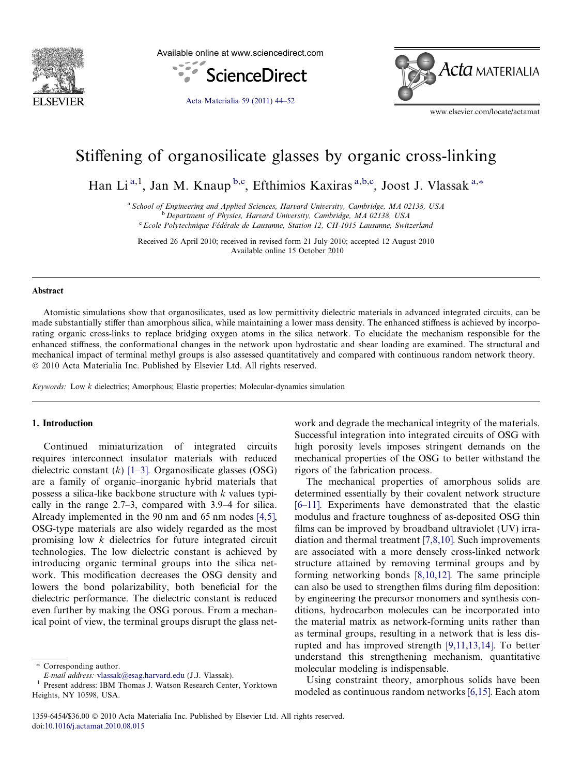

Available online at www.sciencedirect.com



[Acta Materialia 59 \(2011\) 44–52](http://dx.doi.org/10.1016/j.actamat.2010.08.015)



www.elsevier.com/locate/actamat

# Stiffening of organosilicate glasses by organic cross-linking

Han Li<sup>a,1</sup>, Jan M. Knaup<sup>b,c</sup>, Efthimios Kaxiras<sup>a,b,c</sup>, Joost J. Vlassak<sup>a,\*</sup>

<sup>a</sup> School of Engineering and Applied Sciences, Harvard University, Cambridge, MA 02138, USA <sup>b</sup> Department of Physics, Harvard University, Cambridge, MA 02138, USA <sup>c</sup> Ecole Polytechnique Fédérale de Lausanne, Station 12, CH-1015 Lausanne, Switzerland

Received 26 April 2010; received in revised form 21 July 2010; accepted 12 August 2010 Available online 15 October 2010

#### Abstract

Atomistic simulations show that organosilicates, used as low permittivity dielectric materials in advanced integrated circuits, can be made substantially stiffer than amorphous silica, while maintaining a lower mass density. The enhanced stiffness is achieved by incorporating organic cross-links to replace bridging oxygen atoms in the silica network. To elucidate the mechanism responsible for the enhanced stiffness, the conformational changes in the network upon hydrostatic and shear loading are examined. The structural and mechanical impact of terminal methyl groups is also assessed quantitatively and compared with continuous random network theory. - 2010 Acta Materialia Inc. Published by Elsevier Ltd. All rights reserved.

Keywords: Low k dielectrics; Amorphous; Elastic properties; Molecular-dynamics simulation

## 1. Introduction

Continued miniaturization of integrated circuits requires interconnect insulator materials with reduced dielectric constant  $(k)$  [\[1–3\]](#page-8-0). Organosilicate glasses (OSG) are a family of organic–inorganic hybrid materials that possess a silica-like backbone structure with  $k$  values typically in the range 2.7–3, compared with 3.9–4 for silica. Already implemented in the 90 nm and 65 nm nodes [\[4,5\]](#page-8-0), OSG-type materials are also widely regarded as the most promising low k dielectrics for future integrated circuit technologies. The low dielectric constant is achieved by introducing organic terminal groups into the silica network. This modification decreases the OSG density and lowers the bond polarizability, both beneficial for the dielectric performance. The dielectric constant is reduced even further by making the OSG porous. From a mechanical point of view, the terminal groups disrupt the glass net-

\* Corresponding author.

work and degrade the mechanical integrity of the materials. Successful integration into integrated circuits of OSG with high porosity levels imposes stringent demands on the mechanical properties of the OSG to better withstand the rigors of the fabrication process.

The mechanical properties of amorphous solids are determined essentially by their covalent network structure [\[6–11\]](#page-8-0). Experiments have demonstrated that the elastic modulus and fracture toughness of as-deposited OSG thin films can be improved by broadband ultraviolet (UV) irradiation and thermal treatment [\[7,8,10\]](#page-8-0). Such improvements are associated with a more densely cross-linked network structure attained by removing terminal groups and by forming networking bonds [\[8,10,12\]](#page-8-0). The same principle can also be used to strengthen films during film deposition: by engineering the precursor monomers and synthesis conditions, hydrocarbon molecules can be incorporated into the material matrix as network-forming units rather than as terminal groups, resulting in a network that is less disrupted and has improved strength [\[9,11,13,14\].](#page-8-0) To better understand this strengthening mechanism, quantitative molecular modeling is indispensable.

Using constraint theory, amorphous solids have been modeled as continuous random networks [\[6,15\].](#page-8-0) Each atom

 $E\text{-}mail address: vlassak@esag.harvard.edu (J.J. Vlassak).$  $E\text{-}mail address: vlassak@esag.harvard.edu (J.J. Vlassak).$  $E\text{-}mail address: vlassak@esag.harvard.edu (J.J. Vlassak).$ <br/> $^1$  Present address: IBM Thomas J. Watson Research Center, Yorktown Heights, NY 10598, USA.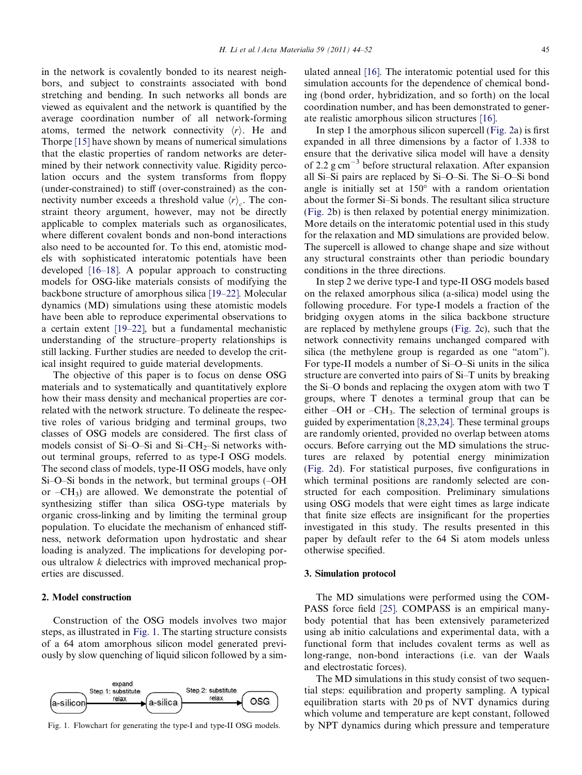in the network is covalently bonded to its nearest neighbors, and subject to constraints associated with bond stretching and bending. In such networks all bonds are viewed as equivalent and the network is quantified by the average coordination number of all network-forming atoms, termed the network connectivity  $\langle r \rangle$ . He and Thorpe [\[15\]](#page-8-0) have shown by means of numerical simulations that the elastic properties of random networks are determined by their network connectivity value. Rigidity percolation occurs and the system transforms from floppy (under-constrained) to stiff (over-constrained) as the connectivity number exceeds a threshold value  $\langle r \rangle_c$ . The constraint theory argument, however, may not be directly applicable to complex materials such as organosilicates, where different covalent bonds and non-bond interactions also need to be accounted for. To this end, atomistic models with sophisticated interatomic potentials have been developed [\[16–18\]](#page-8-0). A popular approach to constructing models for OSG-like materials consists of modifying the backbone structure of amorphous silica [\[19–22\]](#page-8-0). Molecular dynamics (MD) simulations using these atomistic models have been able to reproduce experimental observations to a certain extent [\[19–22\],](#page-8-0) but a fundamental mechanistic understanding of the structure–property relationships is still lacking. Further studies are needed to develop the critical insight required to guide material developments.

The objective of this paper is to focus on dense OSG materials and to systematically and quantitatively explore how their mass density and mechanical properties are correlated with the network structure. To delineate the respective roles of various bridging and terminal groups, two classes of OSG models are considered. The first class of models consist of Si–O–Si and Si–CH<sub>2</sub>–Si networks without terminal groups, referred to as type-I OSG models. The second class of models, type-II OSG models, have only Si–O–Si bonds in the network, but terminal groups (–OH or  $-CH_3$ ) are allowed. We demonstrate the potential of synthesizing stiffer than silica OSG-type materials by organic cross-linking and by limiting the terminal group population. To elucidate the mechanism of enhanced stiffness, network deformation upon hydrostatic and shear loading is analyzed. The implications for developing porous ultralow k dielectrics with improved mechanical properties are discussed.

## 2. Model construction

Construction of the OSG models involves two major steps, as illustrated in Fig. 1. The starting structure consists of a 64 atom amorphous silicon model generated previously by slow quenching of liquid silicon followed by a sim-



ulated anneal [\[16\]](#page-8-0). The interatomic potential used for this simulation accounts for the dependence of chemical bonding (bond order, hybridization, and so forth) on the local coordination number, and has been demonstrated to generate realistic amorphous silicon structures [\[16\].](#page-8-0)

In step 1 the amorphous silicon supercell ([Fig. 2](#page-2-0)a) is first expanded in all three dimensions by a factor of 1.338 to ensure that the derivative silica model will have a density of 2.2 g cm<sup>-3</sup> before structural relaxation. After expansion all Si–Si pairs are replaced by Si–O–Si. The Si–O–Si bond angle is initially set at  $150^{\circ}$  with a random orientation about the former Si–Si bonds. The resultant silica structure ([Fig. 2](#page-2-0)b) is then relaxed by potential energy minimization. More details on the interatomic potential used in this study for the relaxation and MD simulations are provided below. The supercell is allowed to change shape and size without any structural constraints other than periodic boundary conditions in the three directions.

In step 2 we derive type-I and type-II OSG models based on the relaxed amorphous silica (a-silica) model using the following procedure. For type-I models a fraction of the bridging oxygen atoms in the silica backbone structure are replaced by methylene groups ([Fig. 2](#page-2-0)c), such that the network connectivity remains unchanged compared with silica (the methylene group is regarded as one "atom"). For type-II models a number of Si–O–Si units in the silica structure are converted into pairs of Si–T units by breaking the Si–O bonds and replacing the oxygen atom with two T groups, where T denotes a terminal group that can be either  $-OH$  or  $-CH_3$ . The selection of terminal groups is guided by experimentation [\[8,23,24\].](#page-8-0) These terminal groups are randomly oriented, provided no overlap between atoms occurs. Before carrying out the MD simulations the structures are relaxed by potential energy minimization ([Fig. 2d](#page-2-0)). For statistical purposes, five configurations in which terminal positions are randomly selected are constructed for each composition. Preliminary simulations using OSG models that were eight times as large indicate that finite size effects are insignificant for the properties investigated in this study. The results presented in this paper by default refer to the 64 Si atom models unless otherwise specified.

### 3. Simulation protocol

The MD simulations were performed using the COM-PASS force field [\[25\].](#page-8-0) COMPASS is an empirical manybody potential that has been extensively parameterized using ab initio calculations and experimental data, with a functional form that includes covalent terms as well as long-range, non-bond interactions (i.e. van der Waals and electrostatic forces).

The MD simulations in this study consist of two sequential steps: equilibration and property sampling. A typical equilibration starts with 20 ps of NVT dynamics during which volume and temperature are kept constant, followed Fig. 1. Flowchart for generating the type-I and type-II OSG models. by NPT dynamics during which pressure and temperature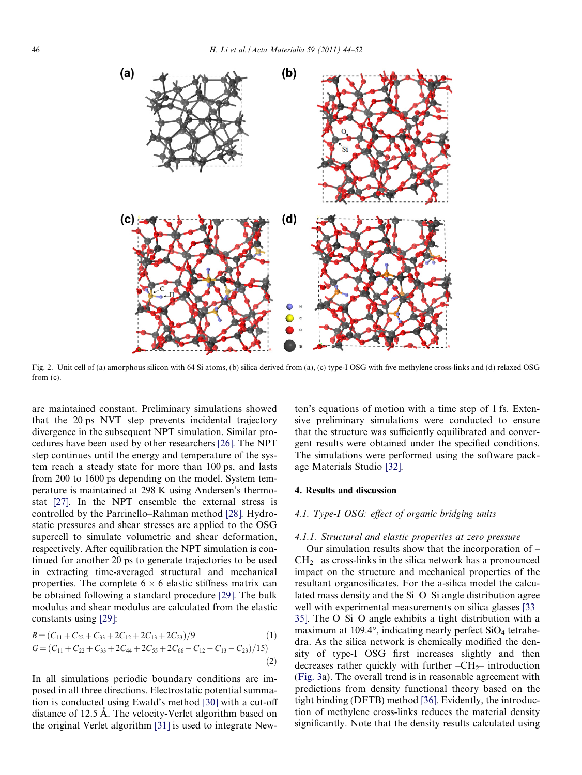<span id="page-2-0"></span>

Fig. 2. Unit cell of (a) amorphous silicon with 64 Si atoms, (b) silica derived from (a), (c) type-I OSG with five methylene cross-links and (d) relaxed OSG from (c).

are maintained constant. Preliminary simulations showed that the 20 ps NVT step prevents incidental trajectory divergence in the subsequent NPT simulation. Similar procedures have been used by other researchers [\[26\]](#page-8-0). The NPT step continues until the energy and temperature of the system reach a steady state for more than 100 ps, and lasts from 200 to 1600 ps depending on the model. System temperature is maintained at 298 K using Andersen's thermostat [\[27\]](#page-8-0). In the NPT ensemble the external stress is controlled by the Parrinello–Rahman method [\[28\].](#page-8-0) Hydrostatic pressures and shear stresses are applied to the OSG supercell to simulate volumetric and shear deformation, respectively. After equilibration the NPT simulation is continued for another 20 ps to generate trajectories to be used in extracting time-averaged structural and mechanical properties. The complete  $6 \times 6$  elastic stiffness matrix can be obtained following a standard procedure [\[29\]](#page-8-0). The bulk modulus and shear modulus are calculated from the elastic constants using [\[29\]:](#page-8-0)

$$
B = (C_{11} + C_{22} + C_{33} + 2C_{12} + 2C_{13} + 2C_{23})/9
$$
\n
$$
G = (C_{11} + C_{22} + C_{33} + 2C_{44} + 2C_{55} + 2C_{66} - C_{12} - C_{13} - C_{23})/15)
$$
\n(2)

In all simulations periodic boundary conditions are imposed in all three directions. Electrostatic potential summation is conducted using Ewald's method [\[30\]](#page-8-0) with a cut-off distance of 12.5 Å. The velocity-Verlet algorithm based on the original Verlet algorithm [\[31\]](#page-8-0) is used to integrate Newton's equations of motion with a time step of 1 fs. Extensive preliminary simulations were conducted to ensure that the structure was sufficiently equilibrated and convergent results were obtained under the specified conditions. The simulations were performed using the software package Materials Studio [\[32\]](#page-8-0).

#### 4. Results and discussion

## 4.1. Type-I OSG: effect of organic bridging units

#### 4.1.1. Structural and elastic properties at zero pressure

Our simulation results show that the incorporation of –  $CH<sub>2</sub>$  as cross-links in the silica network has a pronounced impact on the structure and mechanical properties of the resultant organosilicates. For the a-silica model the calculated mass density and the Si–O–Si angle distribution agree well with experimental measurements on silica glasses [\[33–](#page-8-0) [35\]](#page-8-0). The O–Si–O angle exhibits a tight distribution with a maximum at 109.4 $\degree$ , indicating nearly perfect SiO<sub>4</sub> tetrahedra. As the silica network is chemically modified the density of type-I OSG first increases slightly and then decreases rather quickly with further  $-CH_{2-}$  introduction [\(Fig. 3a](#page-3-0)). The overall trend is in reasonable agreement with predictions from density functional theory based on the tight binding (DFTB) method [\[36\]](#page-8-0). Evidently, the introduction of methylene cross-links reduces the material density significantly. Note that the density results calculated using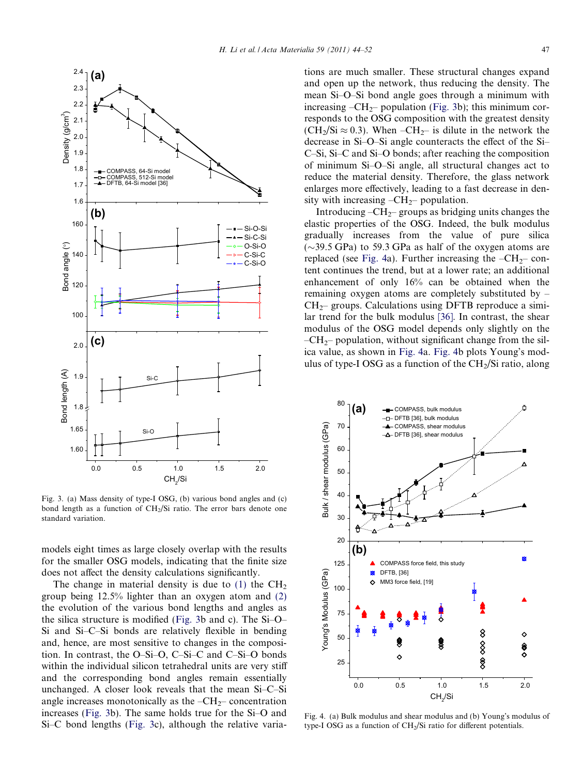<span id="page-3-0"></span>

Fig. 3. (a) Mass density of type-I OSG, (b) various bond angles and (c) bond length as a function of  $CH<sub>2</sub>/Si$  ratio. The error bars denote one standard variation.

models eight times as large closely overlap with the results for the smaller OSG models, indicating that the finite size does not affect the density calculations significantly.

The change in material density is due to  $(1)$  the  $CH<sub>2</sub>$ group being 12.5% lighter than an oxygen atom and (2) the evolution of the various bond lengths and angles as the silica structure is modified (Fig. 3b and c). The Si–O– Si and Si–C–Si bonds are relatively flexible in bending and, hence, are most sensitive to changes in the composition. In contrast, the O–Si–O, C–Si–C and C–Si–O bonds within the individual silicon tetrahedral units are very stiff and the corresponding bond angles remain essentially unchanged. A closer look reveals that the mean Si–C–Si angle increases monotonically as the  $-CH_2$ – concentration increases (Fig. 3b). The same holds true for the Si–O and Si–C bond lengths (Fig. 3c), although the relative variations are much smaller. These structural changes expand and open up the network, thus reducing the density. The mean Si–O–Si bond angle goes through a minimum with increasing  $-CH_{2}$ – population (Fig. 3b); this minimum corresponds to the OSG composition with the greatest density  $(CH<sub>2</sub>/Si \approx 0.3)$ . When  $-CH<sub>2</sub>$  is dilute in the network the decrease in Si–O–Si angle counteracts the effect of the Si– C–Si, Si–C and Si–O bonds; after reaching the composition of minimum Si–O–Si angle, all structural changes act to reduce the material density. Therefore, the glass network enlarges more effectively, leading to a fast decrease in density with increasing  $-CH_2$ – population.

Introducing  $-CH_2$ – groups as bridging units changes the elastic properties of the OSG. Indeed, the bulk modulus gradually increases from the value of pure silica  $(\sim$ 39.5 GPa) to 59.3 GPa as half of the oxygen atoms are replaced (see Fig. 4a). Further increasing the  $-CH_2$ – content continues the trend, but at a lower rate; an additional enhancement of only 16% can be obtained when the remaining oxygen atoms are completely substituted by –  $CH<sub>2</sub>$  groups. Calculations using DFTB reproduce a similar trend for the bulk modulus [\[36\].](#page-8-0) In contrast, the shear modulus of the OSG model depends only slightly on the  $-CH_{2}$ – population, without significant change from the silica value, as shown in Fig. 4a. Fig. 4b plots Young's modulus of type-I OSG as a function of the  $CH<sub>2</sub>/Si$  ratio, along



Fig. 4. (a) Bulk modulus and shear modulus and (b) Young's modulus of type-I OSG as a function of CH2/Si ratio for different potentials.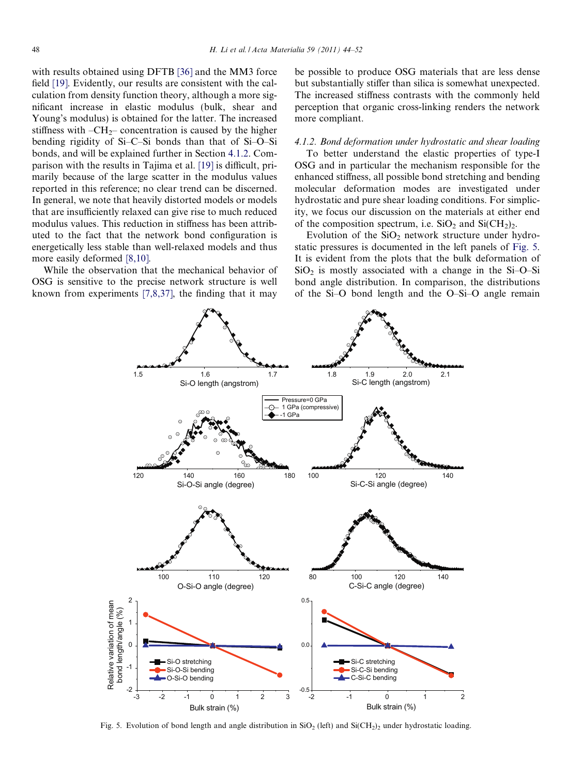<span id="page-4-0"></span>with results obtained using DFTB [\[36\]](#page-8-0) and the MM3 force field [\[19\]](#page-8-0). Evidently, our results are consistent with the calculation from density function theory, although a more significant increase in elastic modulus (bulk, shear and Young's modulus) is obtained for the latter. The increased stiffness with  $-CH_{2}$ – concentration is caused by the higher bending rigidity of Si–C–Si bonds than that of Si–O–Si bonds, and will be explained further in Section 4.1.2. Comparison with the results in Tajima et al. [\[19\]](#page-8-0) is difficult, primarily because of the large scatter in the modulus values reported in this reference; no clear trend can be discerned. In general, we note that heavily distorted models or models that are insufficiently relaxed can give rise to much reduced modulus values. This reduction in stiffness has been attributed to the fact that the network bond configuration is energetically less stable than well-relaxed models and thus more easily deformed [\[8,10\].](#page-8-0)

While the observation that the mechanical behavior of OSG is sensitive to the precise network structure is well known from experiments  $[7,8,37]$ , the finding that it may

be possible to produce OSG materials that are less dense but substantially stiffer than silica is somewhat unexpected. The increased stiffness contrasts with the commonly held perception that organic cross-linking renders the network more compliant.

## 4.1.2. Bond deformation under hydrostatic and shear loading

To better understand the elastic properties of type-I OSG and in particular the mechanism responsible for the enhanced stiffness, all possible bond stretching and bending molecular deformation modes are investigated under hydrostatic and pure shear loading conditions. For simplicity, we focus our discussion on the materials at either end of the composition spectrum, i.e.  $SiO_2$  and  $SiCH_2$ .

Evolution of the  $SiO<sub>2</sub>$  network structure under hydrostatic pressures is documented in the left panels of Fig. 5. It is evident from the plots that the bulk deformation of  $SiO<sub>2</sub>$  is mostly associated with a change in the Si-O–Si bond angle distribution. In comparison, the distributions of the Si–O bond length and the O–Si–O angle remain



Fig. 5. Evolution of bond length and angle distribution in  $SiO_2$  (left) and  $SiCH_2$ )<sub>2</sub> under hydrostatic loading.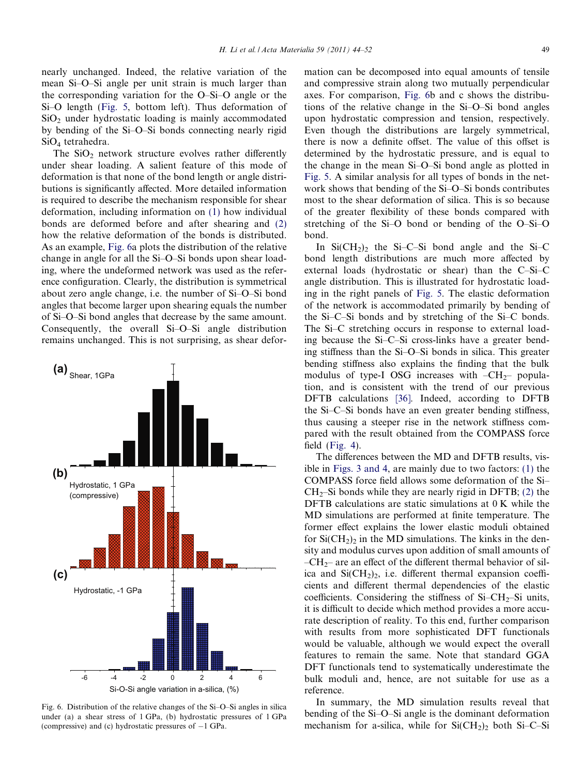nearly unchanged. Indeed, the relative variation of the mean Si–O–Si angle per unit strain is much larger than the corresponding variation for the O–Si–O angle or the Si–O length [\(Fig. 5,](#page-4-0) bottom left). Thus deformation of  $SiO<sub>2</sub>$  under hydrostatic loading is mainly accommodated by bending of the Si–O–Si bonds connecting nearly rigid SiO4 tetrahedra.

The  $SiO<sub>2</sub>$  network structure evolves rather differently under shear loading. A salient feature of this mode of deformation is that none of the bond length or angle distributions is significantly affected. More detailed information is required to describe the mechanism responsible for shear deformation, including information on [\(1\)](#page-2-0) how individual bonds are deformed before and after shearing and (2) how the relative deformation of the bonds is distributed. As an example, Fig. 6a plots the distribution of the relative change in angle for all the Si–O–Si bonds upon shear loading, where the undeformed network was used as the reference configuration. Clearly, the distribution is symmetrical about zero angle change, i.e. the number of Si–O–Si bond angles that become larger upon shearing equals the number of Si–O–Si bond angles that decrease by the same amount. Consequently, the overall Si–O–Si angle distribution remains unchanged. This is not surprising, as shear defor-



Fig. 6. Distribution of the relative changes of the Si–O–Si angles in silica under (a) a shear stress of 1 GPa, (b) hydrostatic pressures of 1 GPa (compressive) and (c) hydrostatic pressures of  $-1$  GPa.

mation can be decomposed into equal amounts of tensile and compressive strain along two mutually perpendicular axes. For comparison, Fig. 6b and c shows the distributions of the relative change in the Si–O–Si bond angles upon hydrostatic compression and tension, respectively. Even though the distributions are largely symmetrical, there is now a definite offset. The value of this offset is determined by the hydrostatic pressure, and is equal to the change in the mean Si–O–Si bond angle as plotted in [Fig. 5.](#page-4-0) A similar analysis for all types of bonds in the network shows that bending of the Si–O–Si bonds contributes most to the shear deformation of silica. This is so because of the greater flexibility of these bonds compared with stretching of the Si–O bond or bending of the O–Si–O bond.

In  $Si(CH_2)_2$  the Si–C–Si bond angle and the Si–C bond length distributions are much more affected by external loads (hydrostatic or shear) than the C–Si–C angle distribution. This is illustrated for hydrostatic loading in the right panels of [Fig. 5](#page-4-0). The elastic deformation of the network is accommodated primarily by bending of the Si–C–Si bonds and by stretching of the Si–C bonds. The Si–C stretching occurs in response to external loading because the Si–C–Si cross-links have a greater bending stiffness than the Si–O–Si bonds in silica. This greater bending stiffness also explains the finding that the bulk modulus of type-I OSG increases with  $-CH_{2}$ – population, and is consistent with the trend of our previous DFTB calculations [\[36\]](#page-8-0). Indeed, according to DFTB the Si–C–Si bonds have an even greater bending stiffness, thus causing a steeper rise in the network stiffness compared with the result obtained from the COMPASS force field [\(Fig. 4\)](#page-3-0).

The differences between the MD and DFTB results, visible in [Figs. 3 and 4,](#page-3-0) are mainly due to two factors: [\(1\)](#page-2-0) the COMPASS force field allows some deformation of the Si–  $CH<sub>2</sub>$ –Si bonds while they are nearly rigid in DFTB; (2) the DFTB calculations are static simulations at 0 K while the MD simulations are performed at finite temperature. The former effect explains the lower elastic moduli obtained for  $Si(CH_2)_2$  in the MD simulations. The kinks in the density and modulus curves upon addition of small amounts of  $-CH_{2}$ – are an effect of the different thermal behavior of silica and  $Si(CH_2)_2$ , i.e. different thermal expansion coefficients and different thermal dependencies of the elastic coefficients. Considering the stiffness of  $Si-CH_2-Si$  units, it is difficult to decide which method provides a more accurate description of reality. To this end, further comparison with results from more sophisticated DFT functionals would be valuable, although we would expect the overall features to remain the same. Note that standard GGA DFT functionals tend to systematically underestimate the bulk moduli and, hence, are not suitable for use as a reference.

In summary, the MD simulation results reveal that bending of the Si–O–Si angle is the dominant deformation mechanism for a-silica, while for  $Si(CH_2)_2$  both Si–C–Si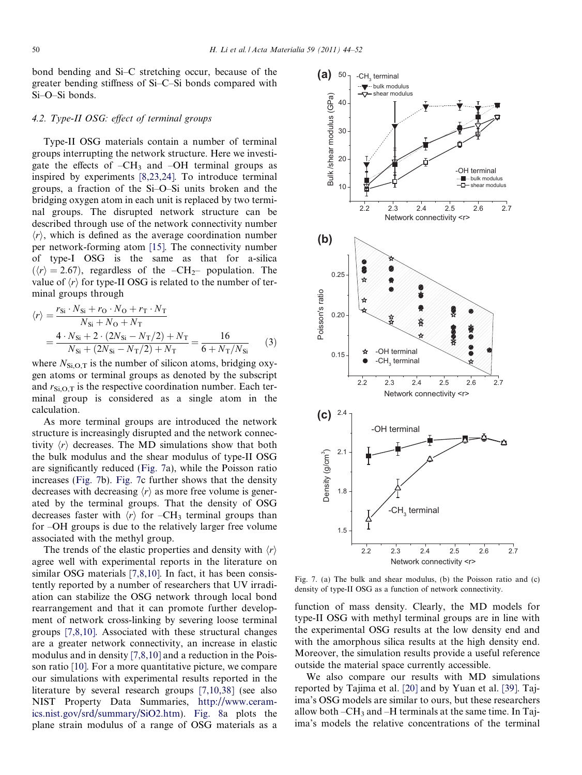<span id="page-6-0"></span>bond bending and Si–C stretching occur, because of the greater bending stiffness of Si–C–Si bonds compared with Si–O–Si bonds.

## 4.2. Type-II OSG: effect of terminal groups

Type-II OSG materials contain a number of terminal groups interrupting the network structure. Here we investigate the effects of  $-CH_3$  and  $-OH$  terminal groups as inspired by experiments [\[8,23,24\]](#page-8-0). To introduce terminal groups, a fraction of the Si–O–Si units broken and the bridging oxygen atom in each unit is replaced by two terminal groups. The disrupted network structure can be described through use of the network connectivity number  $\langle r \rangle$ , which is defined as the average coordination number per network-forming atom [\[15\]](#page-8-0). The connectivity number of type-I OSG is the same as that for a-silica  $\langle \langle r \rangle = 2.67$ , regardless of the  $-CH_{2}$ – population. The value of  $\langle r \rangle$  for type-II OSG is related to the number of terminal groups through

$$
\langle r \rangle = \frac{r_{Si} \cdot N_{Si} + r_{O} \cdot N_{O} + r_{T} \cdot N_{T}}{N_{Si} + N_{O} + N_{T}} = \frac{4 \cdot N_{Si} + 2 \cdot (2N_{Si} - N_{T}/2) + N_{T}}{N_{Si} + (2N_{Si} - N_{T}/2) + N_{T}} = \frac{16}{6 + N_{T}/N_{Si}} \tag{3}
$$

where  $N_{\rm Si, O,T}$  is the number of silicon atoms, bridging oxygen atoms or terminal groups as denoted by the subscript and  $r_{\text{Si.O.T}}$  is the respective coordination number. Each terminal group is considered as a single atom in the calculation.

As more terminal groups are introduced the network structure is increasingly disrupted and the network connectivity  $\langle r \rangle$  decreases. The MD simulations show that both the bulk modulus and the shear modulus of type-II OSG are significantly reduced (Fig. 7a), while the Poisson ratio increases (Fig. 7b). Fig. 7c further shows that the density decreases with decreasing  $\langle r \rangle$  as more free volume is generated by the terminal groups. That the density of OSG decreases faster with  $\langle r \rangle$  for –CH<sub>3</sub> terminal groups than for –OH groups is due to the relatively larger free volume associated with the methyl group.

The trends of the elastic properties and density with  $\langle r \rangle$ agree well with experimental reports in the literature on similar OSG materials [\[7,8,10\]](#page-8-0). In fact, it has been consistently reported by a number of researchers that UV irradiation can stabilize the OSG network through local bond rearrangement and that it can promote further development of network cross-linking by severing loose terminal groups [\[7,8,10\]](#page-8-0). Associated with these structural changes are a greater network connectivity, an increase in elastic modulus and in density [\[7,8,10\]](#page-8-0) and a reduction in the Poisson ratio [\[10\]](#page-8-0). For a more quantitative picture, we compare our simulations with experimental results reported in the literature by several research groups [\[7,10,38\]](#page-8-0) (see also NIST Property Data Summaries, [http://www.ceram](http://www.ceramics.nist.gov/srd/summary/SiO2.htm)[ics.nist.gov/srd/summary/SiO2.htm](http://www.ceramics.nist.gov/srd/summary/SiO2.htm)). [Fig. 8a](#page-7-0) plots the plane strain modulus of a range of OSG materials as a



Fig. 7. (a) The bulk and shear modulus, (b) the Poisson ratio and (c) density of type-II OSG as a function of network connectivity.

function of mass density. Clearly, the MD models for type-II OSG with methyl terminal groups are in line with the experimental OSG results at the low density end and with the amorphous silica results at the high density end. Moreover, the simulation results provide a useful reference outside the material space currently accessible.

We also compare our results with MD simulations reported by Tajima et al. [\[20\]](#page-8-0) and by Yuan et al. [\[39\]](#page-8-0). Tajima's OSG models are similar to ours, but these researchers allow both  $-CH_3$  and  $-H$  terminals at the same time. In Tajima's models the relative concentrations of the terminal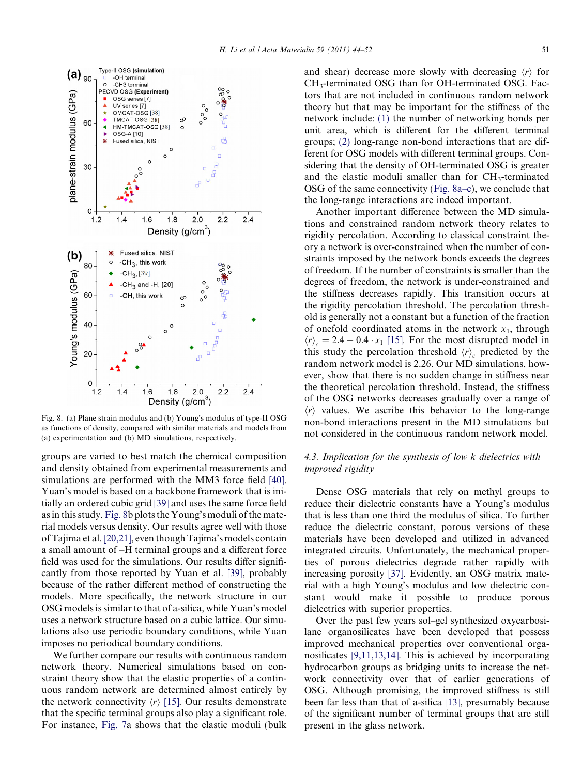<span id="page-7-0"></span>

Fig. 8. (a) Plane strain modulus and (b) Young's modulus of type-II OSG as functions of density, compared with similar materials and models from (a) experimentation and (b) MD simulations, respectively.

groups are varied to best match the chemical composition and density obtained from experimental measurements and simulations are performed with the MM3 force field [\[40\].](#page-8-0) Yuan's model is based on a backbone framework that is initially an ordered cubic grid [\[39\]](#page-8-0) and uses the same force field as in this study. Fig. 8b plots the Young's moduli of the material models versus density. Our results agree well with those of Tajima et al. [\[20,21\]](#page-8-0), even though Tajima's models contain a small amount of –H terminal groups and a different force field was used for the simulations. Our results differ significantly from those reported by Yuan et al. [\[39\]](#page-8-0), probably because of the rather different method of constructing the models. More specifically, the network structure in our OSG models is similar to that of a-silica, while Yuan's model uses a network structure based on a cubic lattice. Our simulations also use periodic boundary conditions, while Yuan imposes no periodical boundary conditions.

We further compare our results with continuous random network theory. Numerical simulations based on constraint theory show that the elastic properties of a continuous random network are determined almost entirely by the network connectivity  $\langle r \rangle$  [\[15\]](#page-8-0). Our results demonstrate that the specific terminal groups also play a significant role. For instance, [Fig. 7a](#page-6-0) shows that the elastic moduli (bulk and shear) decrease more slowly with decreasing  $\langle r \rangle$  for CH3-terminated OSG than for OH-terminated OSG. Factors that are not included in continuous random network theory but that may be important for the stiffness of the network include: [\(1\)](#page-2-0) the number of networking bonds per unit area, which is different for the different terminal groups; (2) long-range non-bond interactions that are different for OSG models with different terminal groups. Considering that the density of OH-terminated OSG is greater and the elastic moduli smaller than for CH<sub>3</sub>-terminated OSG of the same connectivity (Fig. 8a–c), we conclude that the long-range interactions are indeed important.

Another important difference between the MD simulations and constrained random network theory relates to rigidity percolation. According to classical constraint theory a network is over-constrained when the number of constraints imposed by the network bonds exceeds the degrees of freedom. If the number of constraints is smaller than the degrees of freedom, the network is under-constrained and the stiffness decreases rapidly. This transition occurs at the rigidity percolation threshold. The percolation threshold is generally not a constant but a function of the fraction of onefold coordinated atoms in the network  $x_1$ , through  $\langle r \rangle_c = 2.4 - 0.4 \cdot x_1$  [\[15\].](#page-8-0) For the most disrupted model in this study the percolation threshold  $\langle r \rangle_c$  predicted by the random network model is 2.26. Our MD simulations, however, show that there is no sudden change in stiffness near the theoretical percolation threshold. Instead, the stiffness of the OSG networks decreases gradually over a range of  $\langle r \rangle$  values. We ascribe this behavior to the long-range non-bond interactions present in the MD simulations but not considered in the continuous random network model.

## 4.3. Implication for the synthesis of low k dielectrics with improved rigidity

Dense OSG materials that rely on methyl groups to reduce their dielectric constants have a Young's modulus that is less than one third the modulus of silica. To further reduce the dielectric constant, porous versions of these materials have been developed and utilized in advanced integrated circuits. Unfortunately, the mechanical properties of porous dielectrics degrade rather rapidly with increasing porosity [\[37\].](#page-8-0) Evidently, an OSG matrix material with a high Young's modulus and low dielectric constant would make it possible to produce porous dielectrics with superior properties.

Over the past few years sol–gel synthesized oxycarbosilane organosilicates have been developed that possess improved mechanical properties over conventional organosilicates [\[9,11,13,14\]](#page-8-0). This is achieved by incorporating hydrocarbon groups as bridging units to increase the network connectivity over that of earlier generations of OSG. Although promising, the improved stiffness is still been far less than that of a-silica [\[13\]](#page-8-0), presumably because of the significant number of terminal groups that are still present in the glass network.